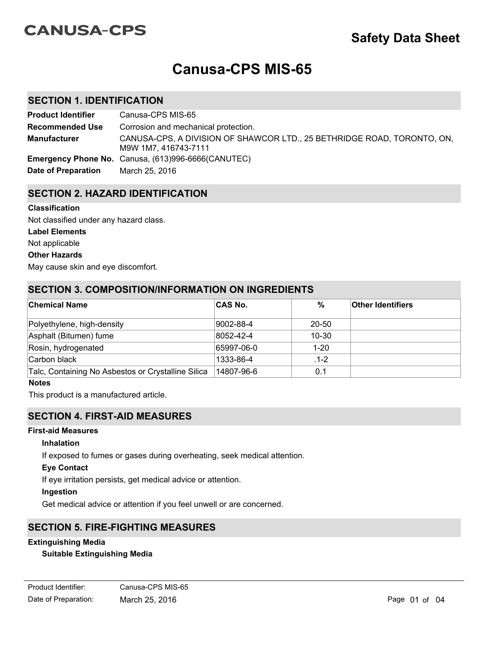# **CANUSA-CPS**

# **Canusa-CPS MIS-65**

# **SECTION 1. IDENTIFICATION**

| <b>Product Identifier</b> | Canusa-CPS MIS-65                                                                               |
|---------------------------|-------------------------------------------------------------------------------------------------|
| <b>Recommended Use</b>    | Corrosion and mechanical protection.                                                            |
| <b>Manufacturer</b>       | CANUSA-CPS, A DIVISION OF SHAWCOR LTD., 25 BETHRIDGE ROAD, TORONTO, ON,<br>M9W 1M7, 416743-7111 |
|                           | <b>Emergency Phone No.</b> Canusa, (613)996-6666(CANUTEC)                                       |
| Date of Preparation       | March 25, 2016                                                                                  |

# **SECTION 2. HAZARD IDENTIFICATION**

#### **Classification**

**Label Elements** Not applicable Not classified under any hazard class.

## **Other Hazards**

May cause skin and eye discomfort.

## **SECTION 3. COMPOSITION/INFORMATION ON INGREDIENTS**

| <b>Chemical Name</b>                               | <b>CAS No.</b> | %         | <b>Other Identifiers</b> |
|----------------------------------------------------|----------------|-----------|--------------------------|
| Polyethylene, high-density                         | 9002-88-4      | 20-50     |                          |
| Asphalt (Bitumen) fume                             | 8052-42-4      | $10 - 30$ |                          |
| Rosin, hydrogenated                                | 65997-06-0     | $1 - 20$  |                          |
| Carbon black                                       | 1333-86-4      | $.1-2$    |                          |
| Talc, Containing No Asbestos or Crystalline Silica | 14807-96-6     | 0.1       |                          |

#### **Notes**

This product is a manufactured article.

## **SECTION 4. FIRST-AID MEASURES**

#### **First-aid Measures**

#### **Inhalation**

If exposed to fumes or gases during overheating, seek medical attention.

#### **Eye Contact**

If eye irritation persists, get medical advice or attention.

#### **Ingestion**

Get medical advice or attention if you feel unwell or are concerned.

## **SECTION 5. FIRE-FIGHTING MEASURES**

## **Extinguishing Media**

#### **Suitable Extinguishing Media**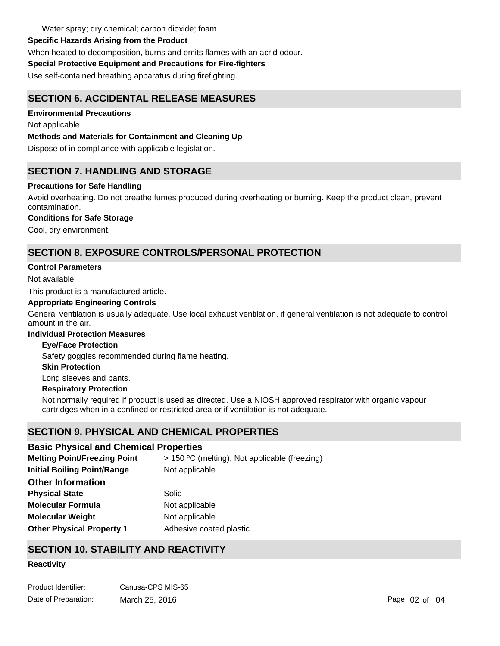Water spray; dry chemical; carbon dioxide; foam.

# **Specific Hazards Arising from the Product**

When heated to decomposition, burns and emits flames with an acrid odour.

# **Special Protective Equipment and Precautions for Fire-fighters**

Use self-contained breathing apparatus during firefighting.

# **SECTION 6. ACCIDENTAL RELEASE MEASURES**

# **Environmental Precautions**

Not applicable.

# **Methods and Materials for Containment and Cleaning Up**

Dispose of in compliance with applicable legislation.

# **SECTION 7. HANDLING AND STORAGE**

# **Precautions for Safe Handling**

Avoid overheating. Do not breathe fumes produced during overheating or burning. Keep the product clean, prevent contamination.

# **Conditions for Safe Storage**

Cool, dry environment.

# **SECTION 8. EXPOSURE CONTROLS/PERSONAL PROTECTION**

# **Control Parameters**

Not available.

This product is a manufactured article.

#### **Appropriate Engineering Controls**

General ventilation is usually adequate. Use local exhaust ventilation, if general ventilation is not adequate to control amount in the air.

#### **Individual Protection Measures**

#### **Eye/Face Protection**

Safety goggles recommended during flame heating.

#### **Skin Protection**

Long sleeves and pants.

#### **Respiratory Protection**

Not normally required if product is used as directed. Use a NIOSH approved respirator with organic vapour cartridges when in a confined or restricted area or if ventilation is not adequate.

# **SECTION 9. PHYSICAL AND CHEMICAL PROPERTIES**

# **Basic Physical and Chemical Properties**

| <b>Melting Point/Freezing Point</b> | > 150 °C (melting); Not applicable (freezing) |
|-------------------------------------|-----------------------------------------------|
| <b>Initial Boiling Point/Range</b>  | Not applicable                                |
| <b>Other Information</b>            |                                               |
| <b>Physical State</b>               | Solid                                         |
| <b>Molecular Formula</b>            | Not applicable                                |
| <b>Molecular Weight</b>             | Not applicable                                |
| <b>Other Physical Property 1</b>    | Adhesive coated plastic                       |

# **SECTION 10. STABILITY AND REACTIVITY**

# **Reactivity**

Not applicable.

Date of Preparation: March 25, 2016 **Page 02 of 04** Page 02 of 04 Product Identifier: Canusa-CPS MIS-65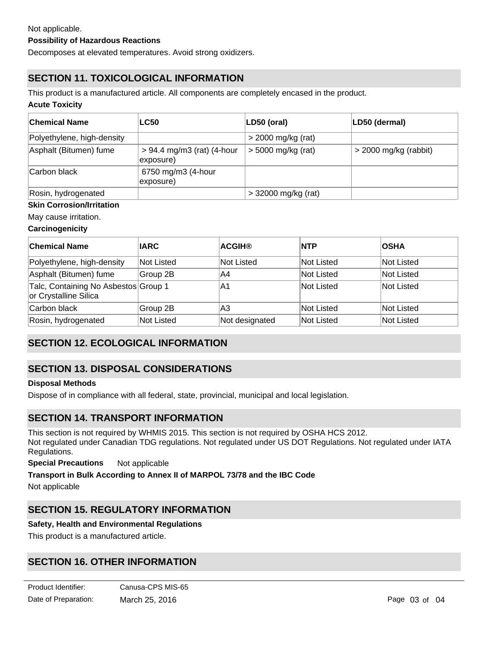#### **Possibility of Hazardous Reactions**

Decomposes at elevated temperatures. Avoid strong oxidizers.

# **SECTION 11. TOXICOLOGICAL INFORMATION**

This product is a manufactured article. All components are completely encased in the product.

#### **Acute Toxicity**

| ∣Chemical Name             | <b>LC50</b>                               | LD50 (oral)           | LD50 (dermal)           |
|----------------------------|-------------------------------------------|-----------------------|-------------------------|
| Polyethylene, high-density |                                           | $>$ 2000 mg/kg (rat)  |                         |
| Asphalt (Bitumen) fume     | $> 94.4$ mg/m3 (rat) (4-hour<br>exposure) | $>$ 5000 mg/kg (rat)  | $>$ 2000 mg/kg (rabbit) |
| Carbon black               | 6750 mg/m3 (4-hour<br>exposure)           |                       |                         |
| Rosin, hydrogenated        |                                           | $>$ 32000 mg/kg (rat) |                         |

#### **Skin Corrosion/Irritation**

May cause irritation.

#### **Carcinogenicity**

| ∣Chemical Name                                                | <b>IARC</b> | <b>ACGIH®</b>     | <b>NTP</b>        | <b>OSHA</b>       |
|---------------------------------------------------------------|-------------|-------------------|-------------------|-------------------|
| Polyethylene, high-density                                    | Not Listed  | <b>Not Listed</b> | lNot Listed       | lNot Listed       |
| Asphalt (Bitumen) fume                                        | Group 2B    | A4                | <b>Not Listed</b> | <b>Not Listed</b> |
| Talc, Containing No Asbestos Group 1<br>or Crystalline Silica |             | A1                | <b>Not Listed</b> | <b>Not Listed</b> |
| Carbon black                                                  | Group 2B    | A3                | <b>Not Listed</b> | Not Listed        |
| Rosin, hydrogenated                                           | Not Listed  | Not designated    | <b>Not Listed</b> | Not Listed        |

# **SECTION 12. ECOLOGICAL INFORMATION**

# **SECTION 13. DISPOSAL CONSIDERATIONS**

#### **Disposal Methods**

Dispose of in compliance with all federal, state, provincial, municipal and local legislation.

# **SECTION 14. TRANSPORT INFORMATION**

This section is not required by WHMIS 2015. This section is not required by OSHA HCS 2012. Not regulated under Canadian TDG regulations. Not regulated under US DOT Regulations. Not regulated under IATA Regulations.

**Special Precautions** Not applicable

**Transport in Bulk According to Annex II of MARPOL 73/78 and the IBC Code**

Not applicable

# **SECTION 15. REGULATORY INFORMATION**

#### **Safety, Health and Environmental Regulations**

This product is a manufactured article.

# **SECTION 16. OTHER INFORMATION**

**SDS Prepared By** SHAWCOR LTD.